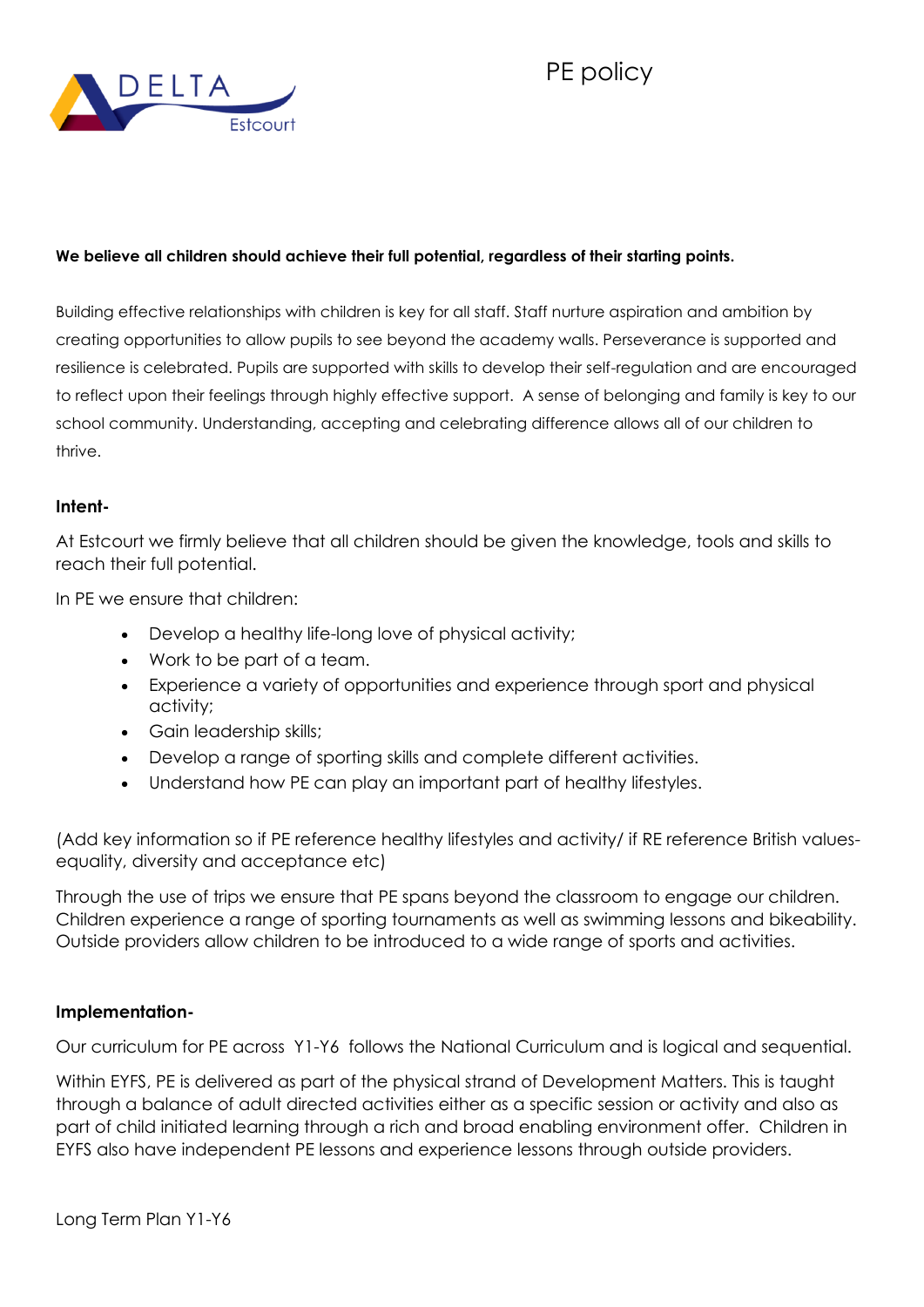



## **We believe all children should achieve their full potential, regardless of their starting points.**

Building effective relationships with children is key for all staff. Staff nurture aspiration and ambition by creating opportunities to allow pupils to see beyond the academy walls. Perseverance is supported and resilience is celebrated. Pupils are supported with skills to develop their self-regulation and are encouraged to reflect upon their feelings through highly effective support. A sense of belonging and family is key to our school community. Understanding, accepting and celebrating difference allows all of our children to thrive.

## **Intent-**

At Estcourt we firmly believe that all children should be given the knowledge, tools and skills to reach their full potential.

In PE we ensure that children:

- Develop a healthy life-long love of physical activity;
- Work to be part of a team.
- Experience a variety of opportunities and experience through sport and physical activity;
- Gain leadership skills;
- Develop a range of sporting skills and complete different activities.
- Understand how PE can play an important part of healthy lifestyles.

(Add key information so if PE reference healthy lifestyles and activity/ if RE reference British valuesequality, diversity and acceptance etc)

Through the use of trips we ensure that PE spans beyond the classroom to engage our children. Children experience a range of sporting tournaments as well as swimming lessons and bikeability. Outside providers allow children to be introduced to a wide range of sports and activities.

## **Implementation-**

Our curriculum for PE across Y1-Y6 follows the National Curriculum and is logical and sequential.

Within EYFS, PE is delivered as part of the physical strand of Development Matters. This is taught through a balance of adult directed activities either as a specific session or activity and also as part of child initiated learning through a rich and broad enabling environment offer. Children in EYFS also have independent PE lessons and experience lessons through outside providers.